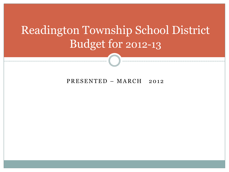# Readington Township School District Budget for 2012-13

PRESENTED – MARCH 2012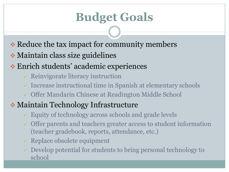# **Budget Goals**

- $\cdot$  Reduce the tax impact for community members
- Maintain class size guidelines
- Enrich students' academic experiences
	- $\checkmark$  Reinvigorate literacy instruction
	- $\checkmark$  Increase instructional time in Spanish at elementary schools
	- Offer Mandarin Chinese at Readington Middle School

### Maintain Technology Infrastructure

- Equity of technology across schools and grade levels
- Offer parents and teachers greater access to student information (teacher gradebook, reports, attendance, etc.)
- $\checkmark$  Replace obsolete equipment
- $\checkmark$  Develop potential for students to bring personal technology to school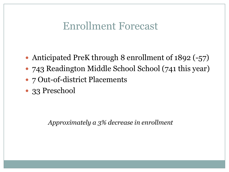### Enrollment Forecast

- Anticipated PreK through 8 enrollment of 1892 (-57)
- 743 Readington Middle School School (741 this year)
- 7 Out-of-district Placements
- 33 Preschool

*Approximately a 3% decrease in enrollment*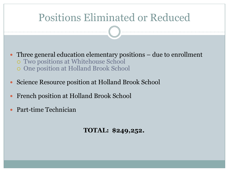### Positions Eliminated or Reduced

- Three general education elementary positions due to enrollment Two positions at Whitehouse School One position at Holland Brook School
- Science Resource position at Holland Brook School
- French position at Holland Brook School
- Part-time Technician

**TOTAL: \$249,252.**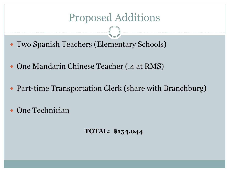### Proposed Additions

- Two Spanish Teachers (Elementary Schools)
- One Mandarin Chinese Teacher (.4 at RMS)
- Part-time Transportation Clerk (share with Branchburg)
- One Technician

**TOTAL: \$154,044**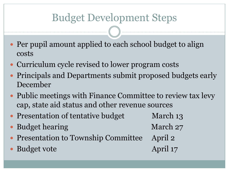# Budget Development Steps

- Per pupil amount applied to each school budget to align costs
- Curriculum cycle revised to lower program costs
- Principals and Departments submit proposed budgets early December
- Public meetings with Finance Committee to review tax levy cap, state aid status and other revenue sources
- Presentation of tentative budget March 13
- Budget hearing March 27
- Presentation to Township Committee April 2
- Budget vote April 17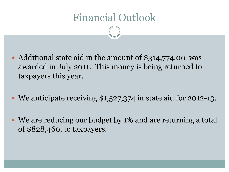# Financial Outlook

- Additional state aid in the amount of \$314,774.00 was awarded in July 2011. This money is being returned to taxpayers this year.
- We anticipate receiving \$1,527,374 in state aid for 2012-13.
- We are reducing our budget by 1% and are returning a total of \$828,460. to taxpayers.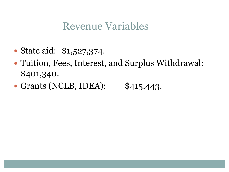### Revenue Variables

- State aid: \$1,527,374.
- Tuition, Fees, Interest, and Surplus Withdrawal: \$401,340.
- Grants (NCLB, IDEA): \$415,443.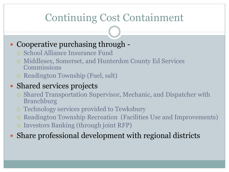# Continuing Cost Containment

### Cooperative purchasing through -

- School Alliance Insurance Fund
- Middlesex, Somerset, and Hunterdon County Ed Services Commissions
- Readington Township (Fuel, salt)

#### • Shared services projects

- Shared Transportation Supervisor, Mechanic, and Dispatcher with Branchburg
- Technology services provided to Tewksbury
- Readington Township Recreation (Facilities Use and Improvements)
- Investors Banking (through joint RFP)

Share professional development with regional districts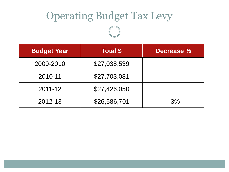# Operating Budget Tax Levy

| <b>Budget Year</b> | <b>Total \$</b> | Decrease % |
|--------------------|-----------------|------------|
| 2009-2010          | \$27,038,539    |            |
| 2010-11            | \$27,703,081    |            |
| $2011 - 12$        | \$27,426,050    |            |
| 2012-13            | \$26,586,701    | $-3%$      |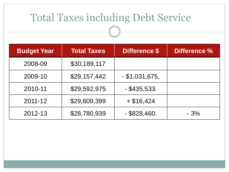# Total Taxes including Debt Service

| <b>Budget Year</b> | <b>Total Taxes</b> | <b>Difference \$</b> | <b>Difference %</b> |
|--------------------|--------------------|----------------------|---------------------|
| 2008-09            | \$30,189,117       |                      |                     |
| 2009-10            | \$29,157,442       | $-$ \$1,031,675.     |                     |
| 2010-11            | \$29,592,975       | $-$ \$435,533.       |                     |
| $2011 - 12$        | \$29,609,399       | $+$ \$16,424         |                     |
| 2012-13            | \$28,780,939       | $-$ \$828,460.       | $-3%$               |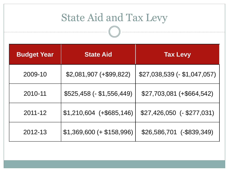# State Aid and Tax Levy

| <b>Budget Year</b> | <b>State Aid</b>           | <b>Tax Levy</b>               |
|--------------------|----------------------------|-------------------------------|
| 2009-10            | $$2,081,907 (+\$99,822)$   | $$27,038,539$ (- \$1,047,057) |
| 2010-11            | $$525,458$ (- \$1,556,449) | \$27,703,081 (+\$664,542)     |
| 2011-12            | $$1,210,604$ (+\$685,146)  | $$27,426,050$ (- \$277,031)   |
| 2012-13            | $$1,369,600 (+ $158,996)$  | \$26,586,701 (-\$839,349)     |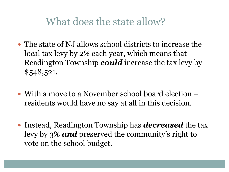### What does the state allow?

- The state of NJ allows school districts to increase the local tax levy by 2% each year, which means that Readington Township *could* increase the tax levy by \$548,521.
- With a move to a November school board election residents would have no say at all in this decision.
- Instead, Readington Township has *decreased* the tax levy by 3% *and* preserved the community's right to vote on the school budget.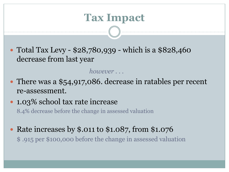### **Tax Impact**

• Total Tax Levy - \$28,780,939 - which is a \$828,460 decrease from last year

#### *however . . .*

- There was a \$54,917,086. decrease in ratables per recent re-assessment.
- 1.03% school tax rate increase

8.4% decrease before the change in assessed valuation

• Rate increases by \$.011 to \$1.087, from \$1.076 \$ .915 per \$100,000 before the change in assessed valuation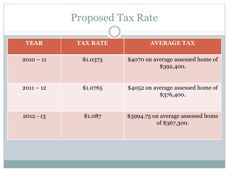| <b>Proposed Tax Rate</b> |                 |                                                     |  |  |
|--------------------------|-----------------|-----------------------------------------------------|--|--|
| <b>YEAR</b>              | <b>TAX RATE</b> | <b>AVERAGE TAX</b>                                  |  |  |
| $2010 - 11$              | \$1.0373        | \$4070 on average assessed home of<br>\$392,400.    |  |  |
| $2011 - 12$              | \$1.0765        | \$4052 on average assessed home of<br>\$376,400.    |  |  |
| $2012 - 13$              | \$1.087         | \$3994.75 on average assessed home<br>of \$367,300. |  |  |
|                          |                 |                                                     |  |  |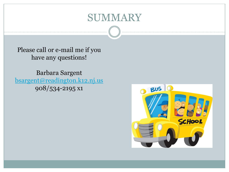### SUMMARY

Please call or e-mail me if you have any questions!

Barbara Sargent [bsargent@readington.k12.nj.us](mailto:bsargent@readington.k12.nj.us) 908/534-2195 x1